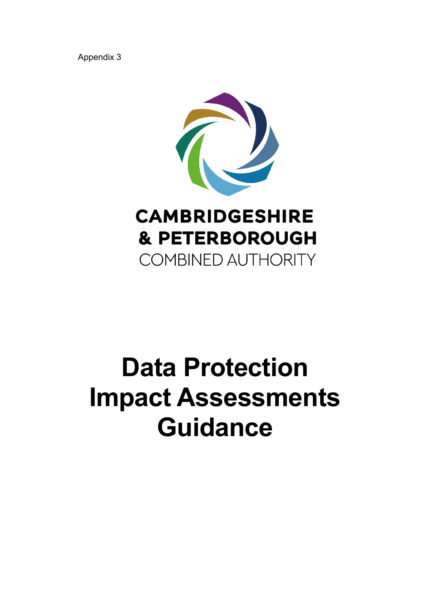Appendix 3



### **CAMBRIDGESHIRE & PETERBOROUGH COMBINED AUTHORITY**

# **Data Protection Impact Assessments Guidance**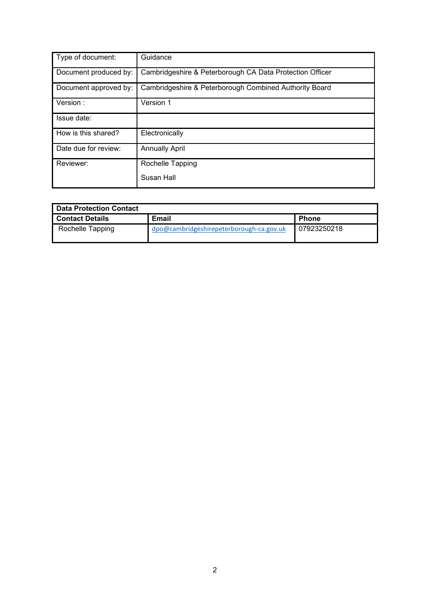| Type of document:     | Guidance                                                 |
|-----------------------|----------------------------------------------------------|
| Document produced by: | Cambridgeshire & Peterborough CA Data Protection Officer |
| Document approved by: | Cambridgeshire & Peterborough Combined Authority Board   |
| Version:              | Version 1                                                |
| Issue date:           |                                                          |
| How is this shared?   | Electronically                                           |
| Date due for review:  | <b>Annually April</b>                                    |
| Reviewer:             | Rochelle Tapping                                         |
|                       | Susan Hall                                               |

| Data Protection Contact |                                          |              |  |
|-------------------------|------------------------------------------|--------------|--|
| <b>Contact Details</b>  | Email                                    | <b>Phone</b> |  |
| Rochelle Tapping        | dpo@cambridgeshirepeterborough-ca.gov.uk | 07923250218  |  |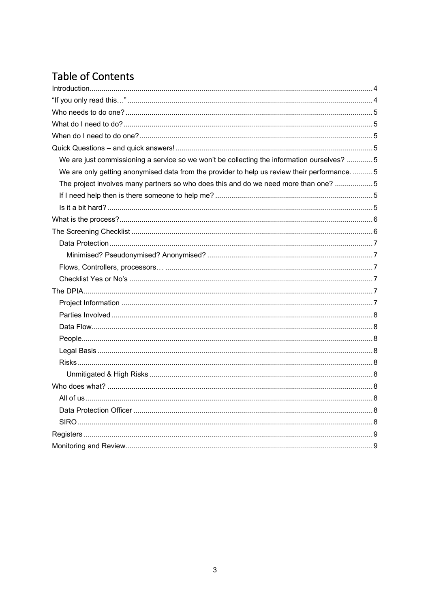### **Table of Contents**

| We are just commissioning a service so we won't be collecting the information ourselves? 5    |  |
|-----------------------------------------------------------------------------------------------|--|
| We are only getting anonymised data from the provider to help us review their performance.  5 |  |
| The project involves many partners so who does this and do we need more than one? 5           |  |
|                                                                                               |  |
|                                                                                               |  |
|                                                                                               |  |
|                                                                                               |  |
|                                                                                               |  |
|                                                                                               |  |
|                                                                                               |  |
|                                                                                               |  |
|                                                                                               |  |
|                                                                                               |  |
|                                                                                               |  |
|                                                                                               |  |
|                                                                                               |  |
|                                                                                               |  |
|                                                                                               |  |
|                                                                                               |  |
|                                                                                               |  |
|                                                                                               |  |
|                                                                                               |  |
|                                                                                               |  |
|                                                                                               |  |
|                                                                                               |  |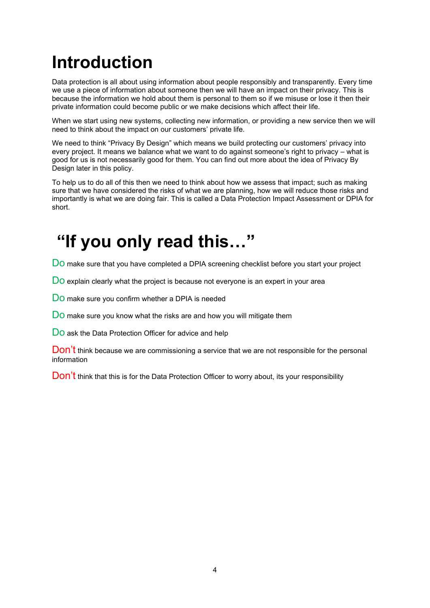### <span id="page-3-0"></span>**Introduction**

Data protection is all about using information about people responsibly and transparently. Every time we use a piece of information about someone then we will have an impact on their privacy. This is because the information we hold about them is personal to them so if we misuse or lose it then their private information could become public or we make decisions which affect their life.

When we start using new systems, collecting new information, or providing a new service then we will need to think about the impact on our customers' private life.

We need to think "Privacy By Design" which means we build protecting our customers' privacy into every project. It means we balance what we want to do against someone's right to privacy – what is good for us is not necessarily good for them. You can find out more about the idea of Privacy By Design later in this policy.

To help us to do all of this then we need to think about how we assess that impact; such as making sure that we have considered the risks of what we are planning, how we will reduce those risks and importantly is what we are doing fair. This is called a Data Protection Impact Assessment or DPIA for short.

### <span id="page-3-1"></span>**"If you only read this…"**

DO make sure that you have completed a DPIA screening checklist before you start your project

DO explain clearly what the project is because not everyone is an expert in your area

DO make sure you confirm whether a DPIA is needed

Do make sure you know what the risks are and how you will mitigate them

DO ask the Data Protection Officer for advice and help

Don't think because we are commissioning a service that we are not responsible for the personal information

Don't think that this is for the Data Protection Officer to worry about, its your responsibility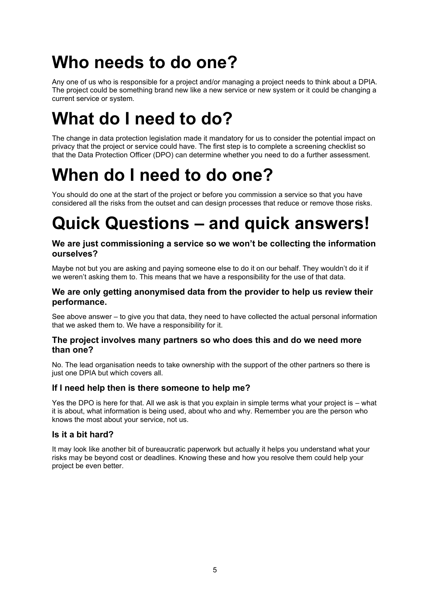### <span id="page-4-0"></span>**Who needs to do one?**

Any one of us who is responsible for a project and/or managing a project needs to think about a DPIA. The project could be something brand new like a new service or new system or it could be changing a current service or system.

### <span id="page-4-1"></span>**What do I need to do?**

The change in data protection legislation made it mandatory for us to consider the potential impact on privacy that the project or service could have. The first step is to complete a screening checklist so that the Data Protection Officer (DPO) can determine whether you need to do a further assessment.

### <span id="page-4-2"></span>**When do I need to do one?**

You should do one at the start of the project or before you commission a service so that you have considered all the risks from the outset and can design processes that reduce or remove those risks.

### <span id="page-4-3"></span>**Quick Questions – and quick answers!**

#### <span id="page-4-4"></span>**We are just commissioning a service so we won't be collecting the information ourselves?**

Maybe not but you are asking and paying someone else to do it on our behalf. They wouldn't do it if we weren't asking them to. This means that we have a responsibility for the use of that data.

#### <span id="page-4-5"></span>**We are only getting anonymised data from the provider to help us review their performance.**

See above answer – to give you that data, they need to have collected the actual personal information that we asked them to. We have a responsibility for it.

#### <span id="page-4-6"></span>**The project involves many partners so who does this and do we need more than one?**

No. The lead organisation needs to take ownership with the support of the other partners so there is just one DPIA but which covers all.

#### <span id="page-4-7"></span>**If I need help then is there someone to help me?**

Yes the DPO is here for that. All we ask is that you explain in simple terms what your project is – what it is about, what information is being used, about who and why. Remember you are the person who knows the most about your service, not us.

#### <span id="page-4-8"></span>**Is it a bit hard?**

It may look like another bit of bureaucratic paperwork but actually it helps you understand what your risks may be beyond cost or deadlines. Knowing these and how you resolve them could help your project be even better.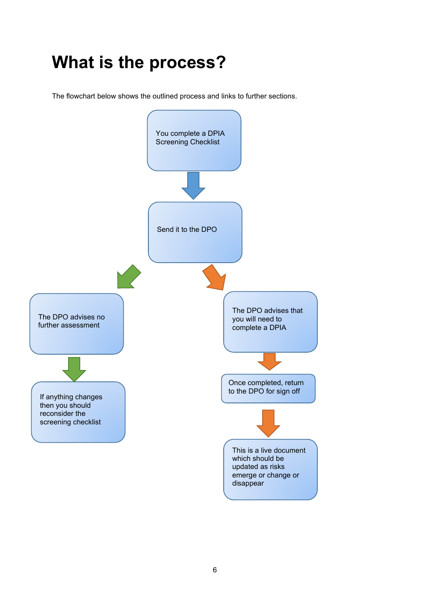### <span id="page-5-0"></span>**What is the process?**

<span id="page-5-1"></span>The flowchart below shows the outlined process and links to further sections.

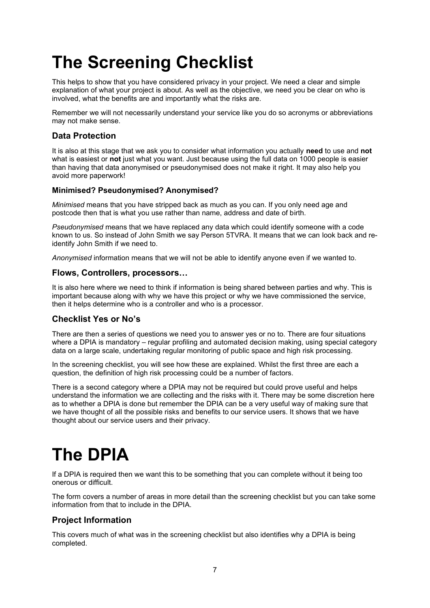### **The Screening Checklist**

This helps to show that you have considered privacy in your project. We need a clear and simple explanation of what your project is about. As well as the objective, we need you be clear on who is involved, what the benefits are and importantly what the risks are.

Remember we will not necessarily understand your service like you do so acronyms or abbreviations may not make sense.

#### <span id="page-6-0"></span>**Data Protection**

It is also at this stage that we ask you to consider what information you actually **need** to use and **not**  what is easiest or **not** just what you want. Just because using the full data on 1000 people is easier than having that data anonymised or pseudonymised does not make it right. It may also help you avoid more paperwork!

#### <span id="page-6-1"></span>**Minimised? Pseudonymised? Anonymised?**

*Minimised* means that you have stripped back as much as you can. If you only need age and postcode then that is what you use rather than name, address and date of birth.

*Pseudonymised* means that we have replaced any data which could identify someone with a code known to us. So instead of John Smith we say Person 5TVRA. It means that we can look back and reidentify John Smith if we need to.

*Anonymised* information means that we will not be able to identify anyone even if we wanted to.

#### <span id="page-6-2"></span>**Flows, Controllers, processors…**

It is also here where we need to think if information is being shared between parties and why. This is important because along with why we have this project or why we have commissioned the service, then it helps determine who is a controller and who is a processor.

#### <span id="page-6-3"></span>**Checklist Yes or No's**

There are then a series of questions we need you to answer yes or no to. There are four situations where a DPIA is mandatory – regular profiling and automated decision making, using special category data on a large scale, undertaking regular monitoring of public space and high risk processing.

In the screening checklist, you will see how these are explained. Whilst the first three are each a question, the definition of high risk processing could be a number of factors.

There is a second category where a DPIA may not be required but could prove useful and helps understand the information we are collecting and the risks with it. There may be some discretion here as to whether a DPIA is done but remember the DPIA can be a very useful way of making sure that we have thought of all the possible risks and benefits to our service users. It shows that we have thought about our service users and their privacy.

## <span id="page-6-4"></span>**The DPIA**

If a DPIA is required then we want this to be something that you can complete without it being too onerous or difficult.

The form covers a number of areas in more detail than the screening checklist but you can take some information from that to include in the [DPIA.](https://cccandpcc.sharepoint.com/:w:/r/sites/PCCInformationGovernance/Shared%20Documents/IG%20Made%20Simple/IG%20Made%20Simple%20%233b%20PCC-CCC%20DPIA%20v2020.docx?d=wf06671e3284f42aaaff64824a238a66c&csf=1&e=pLAaFj)

#### <span id="page-6-5"></span>**Project Information**

This covers much of what was in the screening checklist but also identifies why a DPIA is being completed.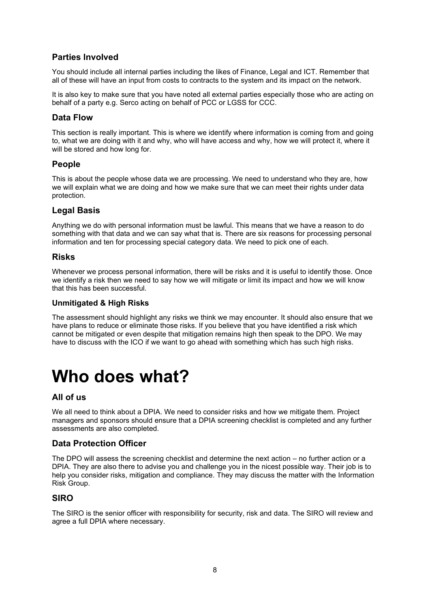#### <span id="page-7-0"></span>**Parties Involved**

You should include all internal parties including the likes of Finance, Legal and ICT. Remember that all of these will have an input from costs to contracts to the system and its impact on the network.

It is also key to make sure that you have noted all external parties especially those who are acting on behalf of a party e.g. Serco acting on behalf of PCC or LGSS for CCC.

#### <span id="page-7-1"></span>**Data Flow**

This section is really important. This is where we identify where information is coming from and going to, what we are doing with it and why, who will have access and why, how we will protect it, where it will be stored and how long for.

#### <span id="page-7-2"></span>**People**

This is about the people whose data we are processing. We need to understand who they are, how we will explain what we are doing and how we make sure that we can meet their rights under data protection.

#### <span id="page-7-3"></span>**Legal Basis**

Anything we do with personal information must be lawful. This means that we have a reason to do something with that data and we can say what that is. There are six reasons for processing personal information and ten for processing special category data. We need to pick one of each.

#### <span id="page-7-4"></span>**Risks**

Whenever we process personal information, there will be risks and it is useful to identify those. Once we identify a risk then we need to say how we will mitigate or limit its impact and how we will know that this has been successful.

#### <span id="page-7-5"></span>**Unmitigated & High Risks**

The assessment should highlight any risks we think we may encounter. It should also ensure that we have plans to reduce or eliminate those risks. If you believe that you have identified a risk which cannot be mitigated or even despite that mitigation remains high then speak to the DPO. We may have to discuss with the ICO if we want to go ahead with something which has such high risks.

### <span id="page-7-6"></span>**Who does what?**

#### <span id="page-7-7"></span>**All of us**

We all need to think about a DPIA. We need to consider risks and how we mitigate them. Project managers and sponsors should ensure that a DPIA screening checklist is completed and any further assessments are also completed.

#### <span id="page-7-8"></span>**Data Protection Officer**

The DPO will assess the screening checklist and determine the next action – no further action or a DPIA. They are also there to advise you and challenge you in the nicest possible way. Their job is to help you consider risks, mitigation and compliance. They may discuss the matter with the Information Risk Group.

#### <span id="page-7-9"></span>**SIRO**

The SIRO is the senior officer with responsibility for security, risk and data. The SIRO will review and agree a full DPIA where necessary.